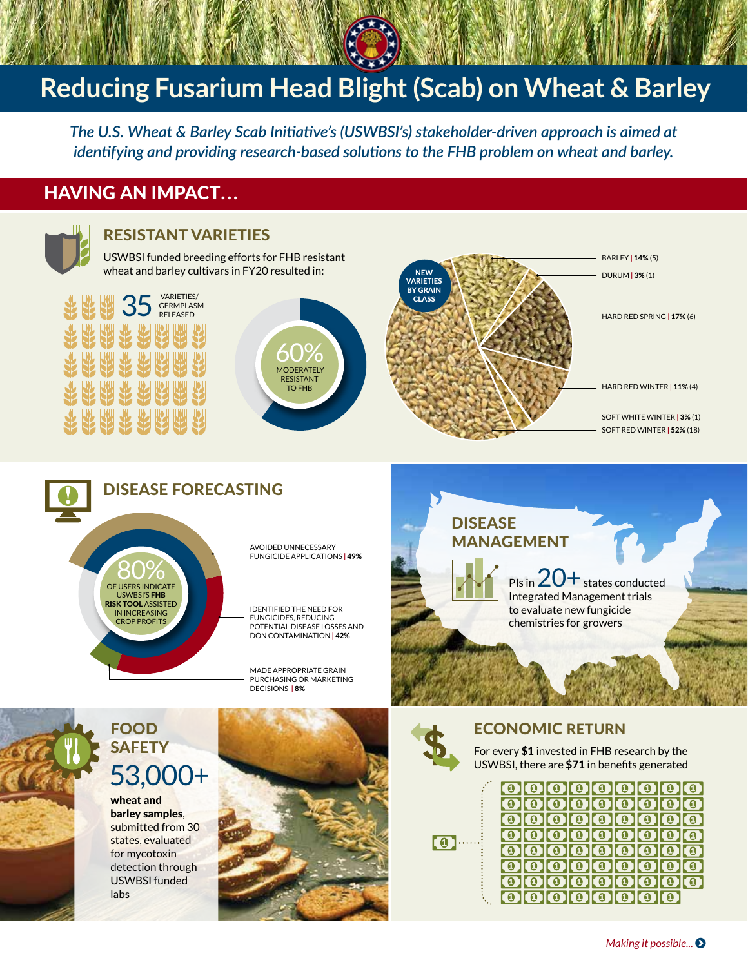# **Reducing Fusarium Head Blight (Scab) on Wheat & Barley**

*The U.S. Wheat & Barley Scab Initiative's (USWBSI's) stakeholder-driven approach is aimed at identifying and providing research-based solutions to the FHB problem on wheat and barley.*

# Having an Impact...



#### Resistant Varieties

USWBSI funded breeding efforts for FHB resistant wheat and barley cultivars in FY20 resulted in:



80% of users indicate

USWBSI'S **FHB**<br>RISK TOOL ASSISTED IN INCREASING crop profits







#### Disease Forecasting

avoided unnecessary fungicide applications **|** 49%

identified the need for fungicides, reducing potential disease losses and DON contamination **|** 42%

made appropriate grain purchasing or marketing decisions **|** 8%

## **DISEASE MANAGEMENT**

PIs in  $20+$  states conducted Integrated Management trials to evaluate new fungicide chemistries for growers

# Food **SAFETY** 53,000+

wheat and barley samples, submitted from 30 states, evaluated for mycotoxin detection through USWBSI funded labs





# economic return

For every \$1 invested in FHB research by the USWBSI, there are \$71 in benefits generated



|  | 000000000                                                                                  |  |  |  |
|--|--------------------------------------------------------------------------------------------|--|--|--|
|  | 000000000                                                                                  |  |  |  |
|  | 000000000                                                                                  |  |  |  |
|  | 000000000                                                                                  |  |  |  |
|  | $0$ $0$ $0$ $0$ $0$ $0$ $0$ $0$ $0$                                                        |  |  |  |
|  | 000000000                                                                                  |  |  |  |
|  | 000000000                                                                                  |  |  |  |
|  | $\mathbf{O}$ $\mathbf{O}$ $\mathbf{O}$ $\mathbf{O}$ $\mathbf{O}$ $\mathbf{O}$ $\mathbf{O}$ |  |  |  |
|  |                                                                                            |  |  |  |